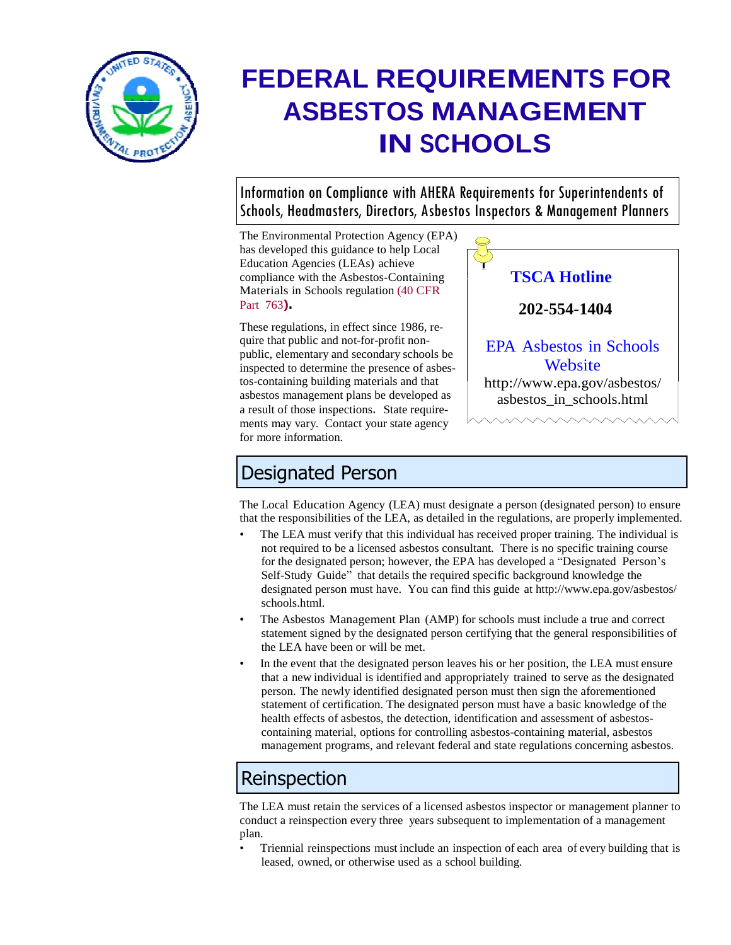

# **FEDERAL REQUIREMENTS FOR ASBESTOS MANAGEMENT IN SCHOOLS**

Information on Compliance with AHERA Requirements for Superintendents of Schools, Headmasters, Directors, Asbestos Inspectors & Management Planners

The Environmental Protection Agency (EPA) has developed this guidance to help Local Education Agencies (LEAs) achieve compliance with the Asbestos-Containing Materials in Schools regulation (40 CFR Part 763**).**

These regulations, in effect since 1986, require that public and not-for-profit nonpublic, elementary and secondary schools be inspected to determine the presence of asbestos-containing building materials and that asbestos management plans be developed as a result of those inspections. State requirements may vary. Contact your state agency for more information.



## Designated Person

The Local Education Agency (LEA) must designate a person (designated person) to ensure that the responsibilities of the LEA, as detailed in the regulations, are properly implemented.

- The LEA must verify that this individual has received proper training. The individual is not required to be a licensed asbestos consultant. There is no specific training course for the designated person; however, the EPA has developed a "Designated Person's Self-Study Guide" that details the required specific background knowledge the designated person must have. You can find this guide at <http://www.epa.gov/asbestos/> schools.html.
- The Asbestos Management Plan (AMP) for schools must include a true and correct statement signed by the designated person certifying that the general responsibilities of the LEA have been or will be met.
- In the event that the designated person leaves his or her position, the LEA must ensure that a new individual is identified and appropriately trained to serve as the designated person. The newly identified designated person must then sign the aforementioned statement of certification. The designated person must have a basic knowledge of the health effects of asbestos, the detection, identification and assessment of asbestoscontaining material, options for controlling asbestos-containing material, asbestos management programs, and relevant federal and state regulations concerning asbestos.

# Reinspection

The LEA must retain the services of a licensed asbestos inspector or management planner to conduct a reinspection every three years subsequent to implementation of a management plan.

• Triennial reinspections must include an inspection of each area of every building that is leased, owned, or otherwise used as a school building.